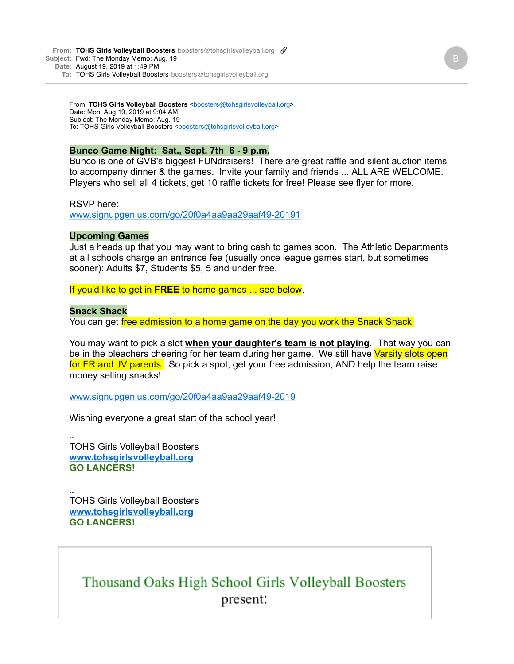**From: TOHS Girls Volleyball Boosters** boosters@tohsgirlsvolleyball.org & **Subject:** Fwd: The Monday Memo: Aug. 19 **Date:** August 19, 2019 at 1:49 PM

**To:** TOHS Girls Volleyball Boosters boosters@tohsgirlsvolleyball.org

From: **TOHS Girls Volleyball Boosters** <br/>[boosters@tohsgirlsvolleyball.org>](mailto:boosters@tohsgirlsvolleyball.org) Date: Mon, Aug 19, 2019 at 9:04 AM Subject: The Monday Memo: Aug. 19 To: TOHS Girls Volleyball Boosters <[boosters@tohsgirlsvolleyball.org>](mailto:boosters@tohsgirlsvolleyball.org)

### **Bunco Game Night: Sat., Sept. 7th 6 - 9 p.m.**

Bunco is one of GVB's biggest FUNdraisers! There are great raffle and silent auction items to accompany dinner & the games. Invite your family and friends ... ALL ARE WELCOME. Players who sell all 4 tickets, get 10 raffle tickets for free! Please see flyer for more.

RSVP here:

[www.signupgenius.com/go/20f0a4aa9aa29aaf49-20191](https://www.signupgenius.com/go/20f0a4aa9aa29aaf49-20191)

### **Upcoming Games**

Just a heads up that you may want to bring cash to games soon. The Athletic Departments at all schools charge an entrance fee (usually once league games start, but sometimes sooner): Adults \$7, Students \$5, 5 and under free.

If you'd like to get in **FREE** to home games ... see below.

### **Snack Shack**

You can get free admission to a home game on the day you work the Snack Shack.

You may want to pick a slot **when your daughter's team is not playing**. That way you can be in the bleachers cheering for her team during her game. We still have Varsity slots open for FR and JV parents. So pick a spot, get your free admission, AND help the team raise money selling snacks!

[www.signupgenius.com/go/20f0a4aa9aa29aaf49-2019](http://www.signupgenius.com/go/20f0a4aa9aa29aaf49-2019)

Wishing everyone a great start of the school year!

-- TOHS Girls Volleyball Boosters **[www.tohsgirlsvolleyball.org](http://www.tohsgirlsvolleyball.org/) GO LANCERS!**

-- TOHS Girls Volleyball Boosters **[www.tohsgirlsvolleyball.org](http://www.tohsgirlsvolleyball.org/) GO LANCERS!**

## Thousand Oaks High School Girls Volleyball Boosters present: